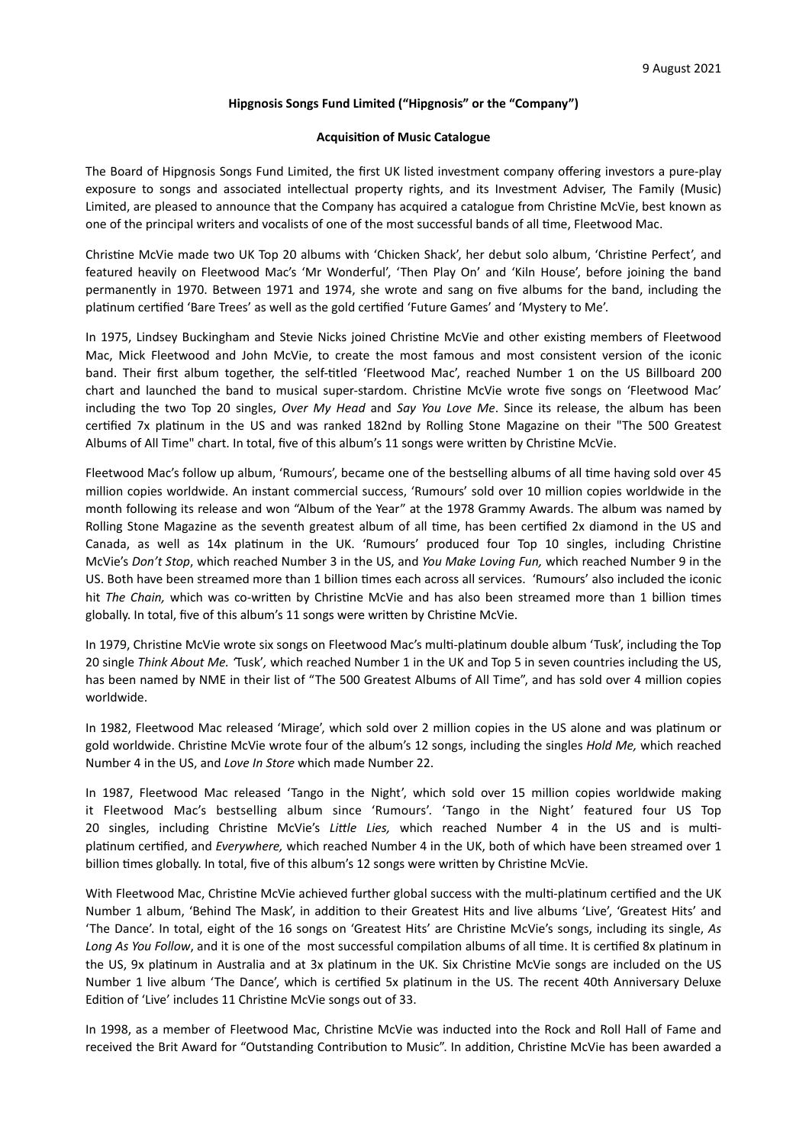## **Hipgnosis Songs Fund Limited ("Hipgnosis" or the "Company")**

#### **Acquisition of Music Catalogue**

The Board of Hipgnosis Songs Fund Limited, the first UK listed investment company offering investors a pure-play exposure to songs and associated intellectual property rights, and its Investment Adviser, The Family (Music) Limited, are pleased to announce that the Company has acquired a catalogue from Christine McVie, best known as one of the principal writers and vocalists of one of the most successful bands of all time, Fleetwood Mac.

Christine McVie made two UK Top 20 albums with 'Chicken Shack', her debut solo album, 'Christine Perfect', and featured heavily on Fleetwood Mac's 'Mr Wonderful', 'Then Play On' and 'Kiln House', before joining the band permanently in 1970. Between 1971 and 1974, she wrote and sang on five albums for the band, including the platinum certified 'Bare Trees' as well as the gold certified 'Future Games' and 'Mystery to Me'.

In 1975, Lindsey Buckingham and Stevie Nicks joined Christine McVie and other existing members of Fleetwood Mac, Mick Fleetwood and John McVie, to create the most famous and most consistent version of the iconic band. Their first album together, the self-titled 'Fleetwood Mac', reached Number 1 on the US Billboard 200 chart and launched the band to musical super-stardom. Christine McVie wrote five songs on 'Fleetwood Mac' including the two Top 20 singles, *Over My Head* and *Say You Love Me*. Since its release, the album has been certified 7x platinum in the US and was ranked 182nd by Rolling Stone Magazine on their "The 500 Greatest Albums of All Time" chart. In total, five of this album's 11 songs were written by Christine McVie.

Fleetwood Mac's follow up album, 'Rumours', became one of the bestselling albums of all time having sold over 45 million copies worldwide. An instant commercial success, 'Rumours' sold over 10 million copies worldwide in the month following its release and won "Album of the Year" at the 1978 Grammy Awards. The album was named by Rolling Stone Magazine as the seventh greatest album of all time, has been certified 2x diamond in the US and Canada, as well as 14x platinum in the UK. 'Rumours' produced four Top 10 singles, including Christine McVie's *Don't Stop*, which reached Number 3 in the US, and *You Make Loving Fun,* which reached Number 9 in the US. Both have been streamed more than 1 billion times each across all services. 'Rumours' also included the iconic hit The Chain, which was co-written by Christine McVie and has also been streamed more than 1 billion times globally. In total, five of this album's 11 songs were written by Christine McVie.

In 1979, Christine McVie wrote six songs on Fleetwood Mac's multi-platinum double album 'Tusk', including the Top 20 single *Think About Me. '*Tusk'*,* which reached Number 1 in the UK and Top 5 in seven countries including the US, has been named by NME in their list of "The 500 Greatest Albums of All Time", and has sold over 4 million copies worldwide.

In 1982, Fleetwood Mac released 'Mirage', which sold over 2 million copies in the US alone and was platinum or gold worldwide. Christine McVie wrote four of the album's 12 songs, including the singles *Hold Me,* which reached Number 4 in the US, and *Love In Store* which made Number 22.

In 1987, Fleetwood Mac released 'Tango in the Night', which sold over 15 million copies worldwide making it Fleetwood Mac's bestselling album since 'Rumours'. 'Tango in the Night' featured four US Top 20 singles, including Christine McVie's *Little Lies*, which reached Number 4 in the US and is multiplatinum certified, and *Everywhere,* which reached Number 4 in the UK, both of which have been streamed over 1 billion times globally. In total, five of this album's 12 songs were written by Christine McVie.

With Fleetwood Mac, Christine McVie achieved further global success with the multi-platinum certified and the UK Number 1 album, 'Behind The Mask', in addition to their Greatest Hits and live albums 'Live', 'Greatest Hits' and 'The Dance'. In total, eight of the 16 songs on 'Greatest Hits' are Christine McVie's songs, including its single, As Long As You Follow, and it is one of the most successful compilation albums of all time. It is certified 8x platinum in the US, 9x platinum in Australia and at 3x platinum in the UK. Six Christine McVie songs are included on the US Number 1 live album 'The Dance', which is certified 5x platinum in the US. The recent 40th Anniversary Deluxe Edition of 'Live' includes 11 Christine McVie songs out of 33.

In 1998, as a member of Fleetwood Mac, Christine McVie was inducted into the Rock and Roll Hall of Fame and received the Brit Award for "Outstanding Contribution to Music". In addition, Christine McVie has been awarded a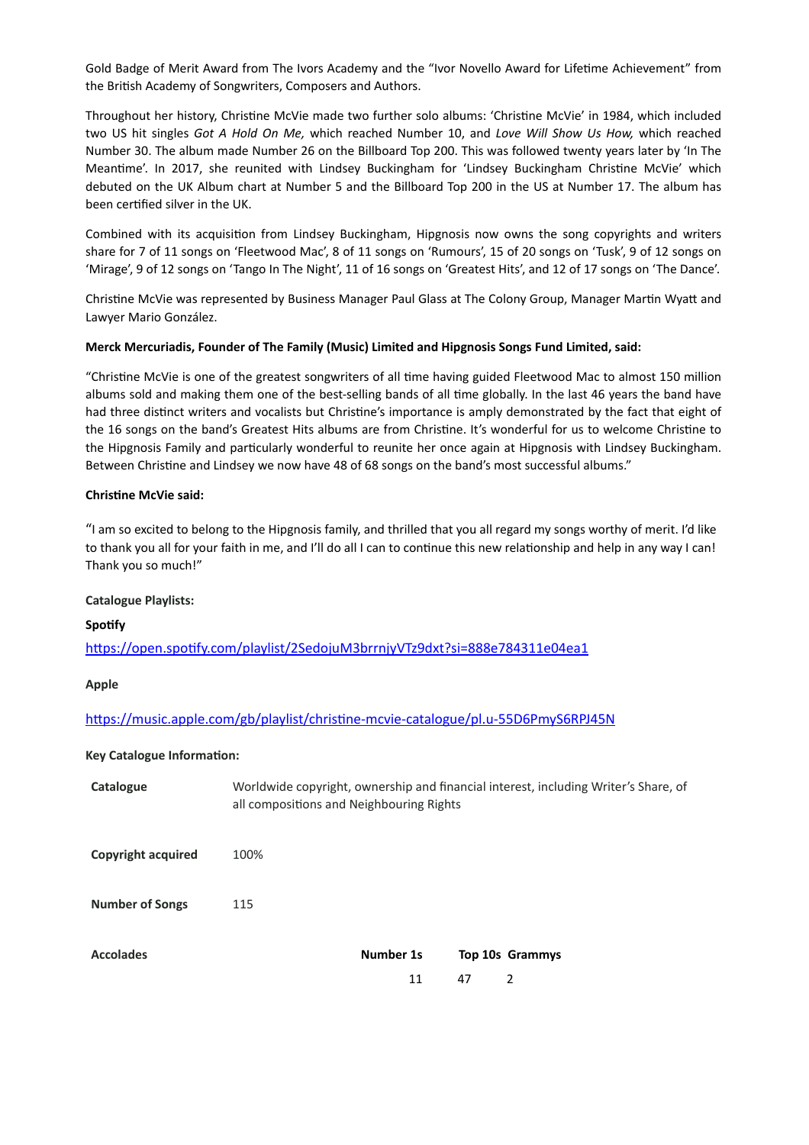Gold Badge of Merit Award from The Ivors Academy and the "Ivor Novello Award for Lifetime Achievement" from the British Academy of Songwriters, Composers and Authors.

Throughout her history, Christine McVie made two further solo albums: 'Christine McVie' in 1984, which included two US hit singles *Got A Hold On Me,* which reached Number 10, and *Love Will Show Us How,* which reached Number 30. The album made Number 26 on the Billboard Top 200. This was followed twenty years later by 'In The Meantime'. In 2017, she reunited with Lindsey Buckingham for 'Lindsey Buckingham Christine McVie' which debuted on the UK Album chart at Number 5 and the Billboard Top 200 in the US at Number 17. The album has been certified silver in the UK.

Combined with its acquisition from Lindsey Buckingham, Hipgnosis now owns the song copyrights and writers share for 7 of 11 songs on 'Fleetwood Mac', 8 of 11 songs on 'Rumours', 15 of 20 songs on 'Tusk', 9 of 12 songs on 'Mirage', 9 of 12 songs on 'Tango In The Night', 11 of 16 songs on 'Greatest Hits', and 12 of 17 songs on 'The Dance'.

Christine McVie was represented by Business Manager Paul Glass at The Colony Group, Manager Martin Wyatt and Lawyer Mario González.

#### **Merck Mercuriadis, Founder of The Family (Music) Limited and Hipgnosis Songs Fund Limited, said:**

"Christine McVie is one of the greatest songwriters of all time having guided Fleetwood Mac to almost 150 million albums sold and making them one of the best-selling bands of all time globally. In the last 46 years the band have had three distinct writers and vocalists but Christine's importance is amply demonstrated by the fact that eight of the 16 songs on the band's Greatest Hits albums are from Christine. It's wonderful for us to welcome Christine to the Hipgnosis Family and particularly wonderful to reunite her once again at Hipgnosis with Lindsey Buckingham. Between Christine and Lindsey we now have 48 of 68 songs on the band's most successful albums."

#### **Christine McVie said:**

"I am so excited to belong to the Hipgnosis family, and thrilled that you all regard my songs worthy of merit. I'd like to thank you all for your faith in me, and I'll do all I can to continue this new relationship and help in any way I can! Thank you so much!"

#### **Catalogue Playlists:**

## **Spotify**

https://open.spotify.com/playlist/2SedojuM3brrnjyVTz9dxt?si=888e784311e04ea1

## **Apple**

https://music.apple.com/gb/playlist/christine-mcvie-catalogue/pl.u-55D6PmyS6RPJ45N

## **Key Catalogue Information:**

| Catalogue                 | Worldwide copyright, ownership and financial interest, including Writer's Share, of<br>all compositions and Neighbouring Rights |           |    |                        |
|---------------------------|---------------------------------------------------------------------------------------------------------------------------------|-----------|----|------------------------|
| <b>Copyright acquired</b> | 100%                                                                                                                            |           |    |                        |
| <b>Number of Songs</b>    | 115                                                                                                                             |           |    |                        |
| <b>Accolades</b>          |                                                                                                                                 | Number 1s |    | <b>Top 10s Grammys</b> |
|                           |                                                                                                                                 | 11        | 47 | 2                      |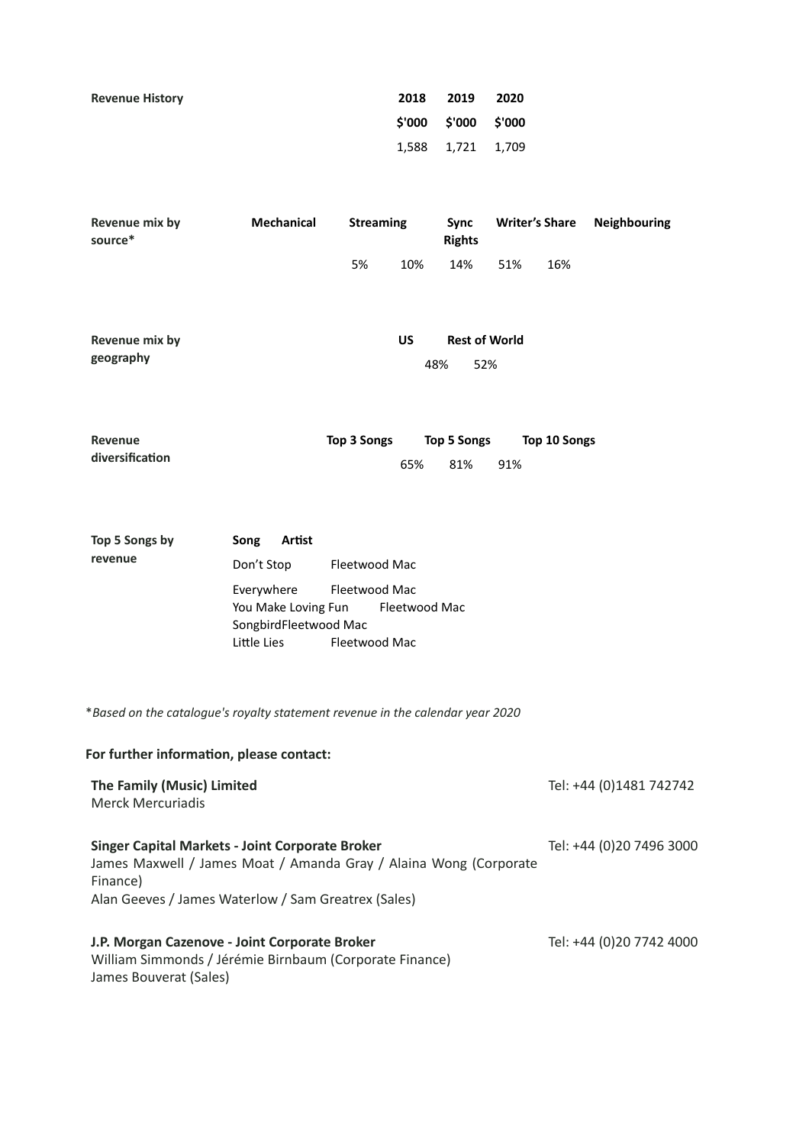| <b>Revenue History</b> | 2018 | 2019                 | 2020 |
|------------------------|------|----------------------|------|
|                        |      | \$'000 \$'000 \$'000 |      |
|                        |      | 1,588 1,721 1,709    |      |

| Revenue mix by<br>source* | Mechanical | <b>Streaming</b> |     | Sync<br><b>Rights</b> | <b>Writer's Share</b> |     | <b>Neighbouring</b> |
|---------------------------|------------|------------------|-----|-----------------------|-----------------------|-----|---------------------|
|                           |            | 5%               | 10% | 14%                   | 51%                   | 16% |                     |

| Revenue mix by | US |     | <b>Rest of World</b> |
|----------------|----|-----|----------------------|
| geography      |    | 48% | - 52%                |

| Revenue         | Top 3 Songs |     | Top 5 Songs | Top 10 Songs |
|-----------------|-------------|-----|-------------|--------------|
| diversification |             | 65% | 81%         | 91%          |

| Top 5 Songs by | Artist<br>Song                       |               |  |  |
|----------------|--------------------------------------|---------------|--|--|
| revenue        | Don't Stop                           | Fleetwood Mac |  |  |
|                | Everywhere                           | Fleetwood Mac |  |  |
|                | Fleetwood Mac<br>You Make Loving Fun |               |  |  |
|                | SongbirdFleetwood Mac                |               |  |  |
|                | Little Lies                          | Fleetwood Mac |  |  |

\**Based on the catalogue's royalty statement revenue in the calendar year 2020*

# For further information, please contact:

| The Family (Music) Limited<br>Merck Mercuriadis                                                                                         | Tel: +44 (0)1481 742742  |
|-----------------------------------------------------------------------------------------------------------------------------------------|--------------------------|
| <b>Singer Capital Markets - Joint Corporate Broker</b><br>James Maxwell / James Moat / Amanda Gray / Alaina Wong (Corporate<br>Finance) | Tel: +44 (0)20 7496 3000 |
| Alan Geeves / James Waterlow / Sam Greatrex (Sales)                                                                                     |                          |
| J.P. Morgan Cazenove - Joint Corporate Broker<br>William Simmonds / Jérémie Birnbaum (Corporate Finance)<br>James Bouverat (Sales)      | Tel: +44 (0)20 7742 4000 |